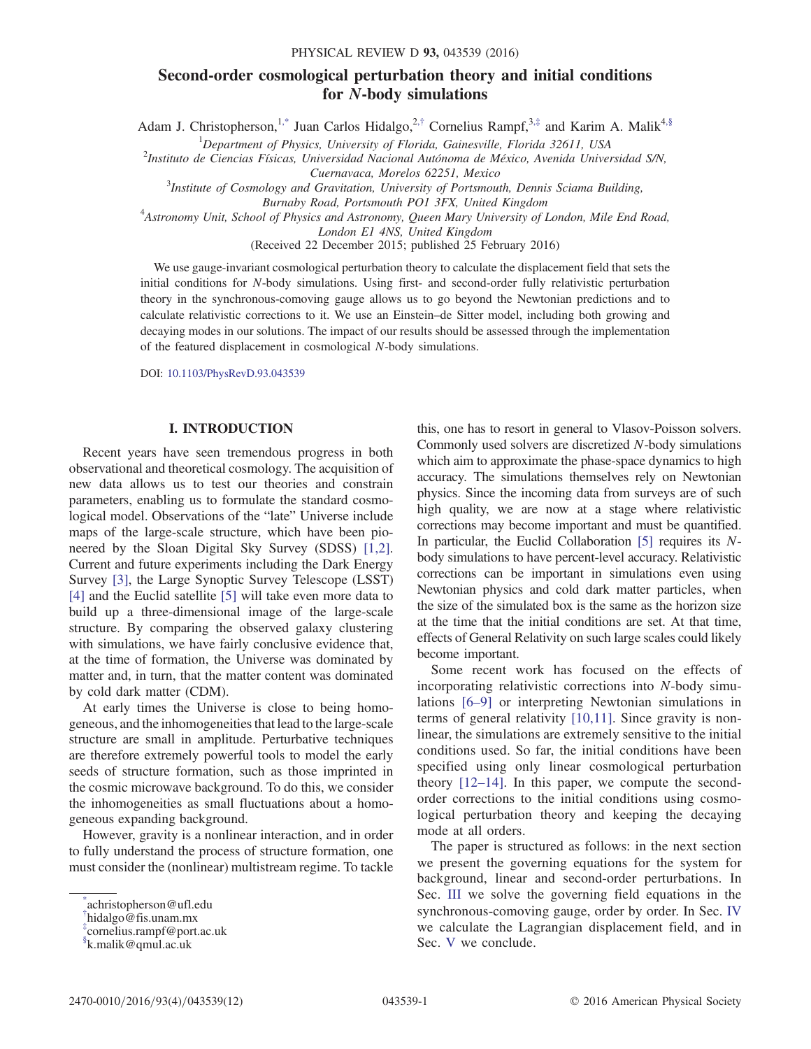# Second-order cosmological perturbation theory and initial conditions for N-body simulations

<span id="page-0-4"></span>Adam J. Christopherson,<sup>[1,\\*](#page-0-0)</sup> Juan Carlos Hidalgo,<sup>2,[†](#page-0-1)</sup> Cornelius Rampf,<sup>3,[‡](#page-0-2)</sup> and Karim A. Malik<sup>4[,§](#page-0-3)</sup>

<sup>1</sup>Department of Physics, University of Florida, Gainesville, Florida 32611, USA<br><sup>2</sup>Institute de Ciencias Efeicas, Universidad Nacional Autónoma de México, Avenida Univers

<sup>2</sup>Instituto de Ciencias Físicas, Universidad Nacional Autónoma de México, Avenida Universidad S/N,

Cuernavaca, Morelos 62251, Mexico<br><sup>3</sup>Institute of Cosmology and Gravitation, University of Portsmouth, Dennis Sciama Building,

Burnaby Road, Portsmouth PO1 3FX, United Kingdom<br><sup>4</sup>Astronomy Unit, School of Physics and Astronomy, Queen Mary University of London, Mile End Road,

London E1 4NS, United Kingdom

(Received 22 December 2015; published 25 February 2016)

We use gauge-invariant cosmological perturbation theory to calculate the displacement field that sets the initial conditions for N-body simulations. Using first- and second-order fully relativistic perturbation theory in the synchronous-comoving gauge allows us to go beyond the Newtonian predictions and to calculate relativistic corrections to it. We use an Einstein–de Sitter model, including both growing and decaying modes in our solutions. The impact of our results should be assessed through the implementation of the featured displacement in cosmological N-body simulations.

DOI: [10.1103/PhysRevD.93.043539](http://dx.doi.org/10.1103/PhysRevD.93.043539)

# I. INTRODUCTION

Recent years have seen tremendous progress in both observational and theoretical cosmology. The acquisition of new data allows us to test our theories and constrain parameters, enabling us to formulate the standard cosmological model. Observations of the "late" Universe include maps of the large-scale structure, which have been pioneered by the Sloan Digital Sky Survey (SDSS) [\[1,2\]](#page-11-0). Current and future experiments including the Dark Energy Survey [\[3\],](#page-11-1) the Large Synoptic Survey Telescope (LSST) [\[4\]](#page-11-2) and the Euclid satellite [\[5\]](#page-11-3) will take even more data to build up a three-dimensional image of the large-scale structure. By comparing the observed galaxy clustering with simulations, we have fairly conclusive evidence that, at the time of formation, the Universe was dominated by matter and, in turn, that the matter content was dominated by cold dark matter (CDM).

At early times the Universe is close to being homogeneous, and the inhomogeneities that lead to the large-scale structure are small in amplitude. Perturbative techniques are therefore extremely powerful tools to model the early seeds of structure formation, such as those imprinted in the cosmic microwave background. To do this, we consider the inhomogeneities as small fluctuations about a homogeneous expanding background.

However, gravity is a nonlinear interaction, and in order to fully understand the process of structure formation, one must consider the (nonlinear) multistream regime. To tackle

this, one has to resort in general to Vlasov-Poisson solvers. Commonly used solvers are discretized N-body simulations which aim to approximate the phase-space dynamics to high accuracy. The simulations themselves rely on Newtonian physics. Since the incoming data from surveys are of such high quality, we are now at a stage where relativistic corrections may become important and must be quantified. In particular, the Euclid Collaboration  $[5]$  requires its Nbody simulations to have percent-level accuracy. Relativistic corrections can be important in simulations even using Newtonian physics and cold dark matter particles, when the size of the simulated box is the same as the horizon size at the time that the initial conditions are set. At that time, effects of General Relativity on such large scales could likely become important.

Some recent work has focused on the effects of incorporating relativistic corrections into N-body simulations [6–[9\]](#page-11-4) or interpreting Newtonian simulations in terms of general relativity [\[10,11\].](#page-11-5) Since gravity is nonlinear, the simulations are extremely sensitive to the initial conditions used. So far, the initial conditions have been specified using only linear cosmological perturbation theory [\[12](#page-11-6)–14]. In this paper, we compute the secondorder corrections to the initial conditions using cosmological perturbation theory and keeping the decaying mode at all orders.

The paper is structured as follows: in the next section we present the governing equations for the system for background, linear and second-order perturbations. In Sec. [III](#page-4-0) we solve the governing field equations in the synchronous-comoving gauge, order by order. In Sec. [IV](#page-7-0) we calculate the Lagrangian displacement field, and in Sec. [V](#page-9-0) we conclude.

<span id="page-0-0"></span>[<sup>\\*</sup>](#page-0-4) achristopherson@ufl.edu

<span id="page-0-1"></span>[<sup>†</sup>](#page-0-4) hidalgo@fis.unam.mx

<span id="page-0-2"></span>[<sup>‡</sup>](#page-0-4) cornelius.rampf@port.ac.uk

<span id="page-0-3"></span>[<sup>§</sup>](#page-0-4) k.malik@qmul.ac.uk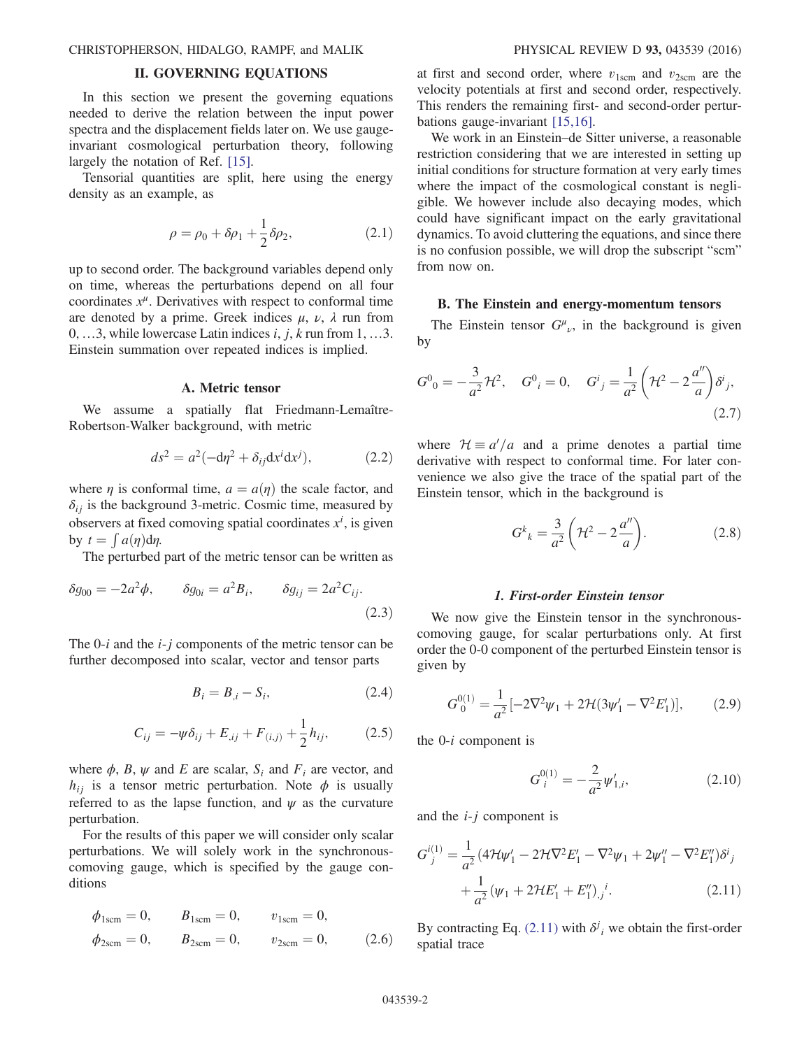# II. GOVERNING EQUATIONS

In this section we present the governing equations needed to derive the relation between the input power spectra and the displacement fields later on. We use gaugeinvariant cosmological perturbation theory, following largely the notation of Ref. [\[15\]](#page-11-7).

Tensorial quantities are split, here using the energy density as an example, as

$$
\rho = \rho_0 + \delta \rho_1 + \frac{1}{2} \delta \rho_2, \qquad (2.1)
$$

up to second order. The background variables depend only on time, whereas the perturbations depend on all four coordinates  $x^{\mu}$ . Derivatives with respect to conformal time are denoted by a prime. Greek indices  $\mu$ ,  $\nu$ ,  $\lambda$  run from  $0, \ldots$ 3, while lowercase Latin indices  $i, j, k$  run from  $1, \ldots$ 3. Einstein summation over repeated indices is implied.

### A. Metric tensor

We assume a spatially flat Friedmann-Lemaître-Robertson-Walker background, with metric

$$
ds^2 = a^2(-d\eta^2 + \delta_{ij}dx^i dx^j), \qquad (2.2)
$$

where  $\eta$  is conformal time,  $a = a(\eta)$  the scale factor, and  $\delta_{ij}$  is the background 3-metric. Cosmic time, measured by observers at fixed comoving spatial coordinates  $x^i$ , is given by  $t = \int a(\eta) d\eta$ .<br>The perturbed

The perturbed part of the metric tensor can be written as

$$
\delta g_{00} = -2a^2 \phi, \qquad \delta g_{0i} = a^2 B_i, \qquad \delta g_{ij} = 2a^2 C_{ij}.
$$
\n(2.3)

The  $0-i$  and the  $i-i$  components of the metric tensor can be further decomposed into scalar, vector and tensor parts

$$
B_i = B_{,i} - S_i,\tag{2.4}
$$

$$
C_{ij} = -\psi \delta_{ij} + E_{,ij} + F_{(i,j)} + \frac{1}{2} h_{ij}, \qquad (2.5)
$$

where  $\phi$ , B,  $\psi$  and E are scalar,  $S_i$  and  $F_i$  are vector, and  $h_{ij}$  is a tensor metric perturbation. Note  $\phi$  is usually referred to as the lapse function, and  $\psi$  as the curvature perturbation.

For the results of this paper we will consider only scalar perturbations. We will solely work in the synchronouscomoving gauge, which is specified by the gauge conditions

$$
\phi_{1scm} = 0,
$$
\n $B_{1scm} = 0,$ \n $v_{1scm} = 0,$ \n  
\n $\phi_{2scm} = 0,$ \n $B_{2scm} = 0,$ \n $v_{2scm} = 0,$ \n(2.6)

at first and second order, where  $v_{1scm}$  and  $v_{2scm}$  are the velocity potentials at first and second order, respectively. This renders the remaining first- and second-order perturbations gauge-invariant [\[15,16\]](#page-11-7).

We work in an Einstein–de Sitter universe, a reasonable restriction considering that we are interested in setting up initial conditions for structure formation at very early times where the impact of the cosmological constant is negligible. We however include also decaying modes, which could have significant impact on the early gravitational dynamics. To avoid cluttering the equations, and since there is no confusion possible, we will drop the subscript "scm" from now on.

### B. The Einstein and energy-momentum tensors

The Einstein tensor  $G^{\mu}{}_{\nu}$ , in the background is given by

$$
G^{0}_{0} = -\frac{3}{a^{2}}\mathcal{H}^{2}, \quad G^{0}_{i} = 0, \quad G^{i}_{j} = \frac{1}{a^{2}}\left(\mathcal{H}^{2} - 2\frac{a''}{a}\right)\delta^{i}_{j},
$$
\n(2.7)

where  $\mathcal{H} \equiv a'/a$  and a prime denotes a partial time derivative with respect to conformal time. For later convenience we also give the trace of the spatial part of the Einstein tensor, which in the background is

$$
G^k{}_k = \frac{3}{a^2} \left( \mathcal{H}^2 - 2\frac{a''}{a} \right). \tag{2.8}
$$

# 1. First-order Einstein tensor

We now give the Einstein tensor in the synchronouscomoving gauge, for scalar perturbations only. At first order the 0-0 component of the perturbed Einstein tensor is given by

$$
G_0^{0(1)} = \frac{1}{a^2} [-2\nabla^2 \psi_1 + 2\mathcal{H}(3\psi_1' - \nabla^2 E_1')],\tag{2.9}
$$

the 0-i component is

$$
G_i^{0(1)} = -\frac{2}{a^2} \psi'_{1,i},\tag{2.10}
$$

<span id="page-1-0"></span>and the  $i-j$  component is

$$
G_j^{i(1)} = \frac{1}{a^2} \left( 4\mathcal{H}\psi_1' - 2\mathcal{H}\nabla^2 E_1' - \nabla^2 \psi_1 + 2\psi_1'' - \nabla^2 E_1'' \right) \delta^i_j + \frac{1}{a^2} (\psi_1 + 2\mathcal{H}E_1' + E_1'')_{,j}{}^i.
$$
 (2.11)

By contracting Eq. [\(2.11\)](#page-1-0) with  $\delta^j_i$  we obtain the first-order spatial trace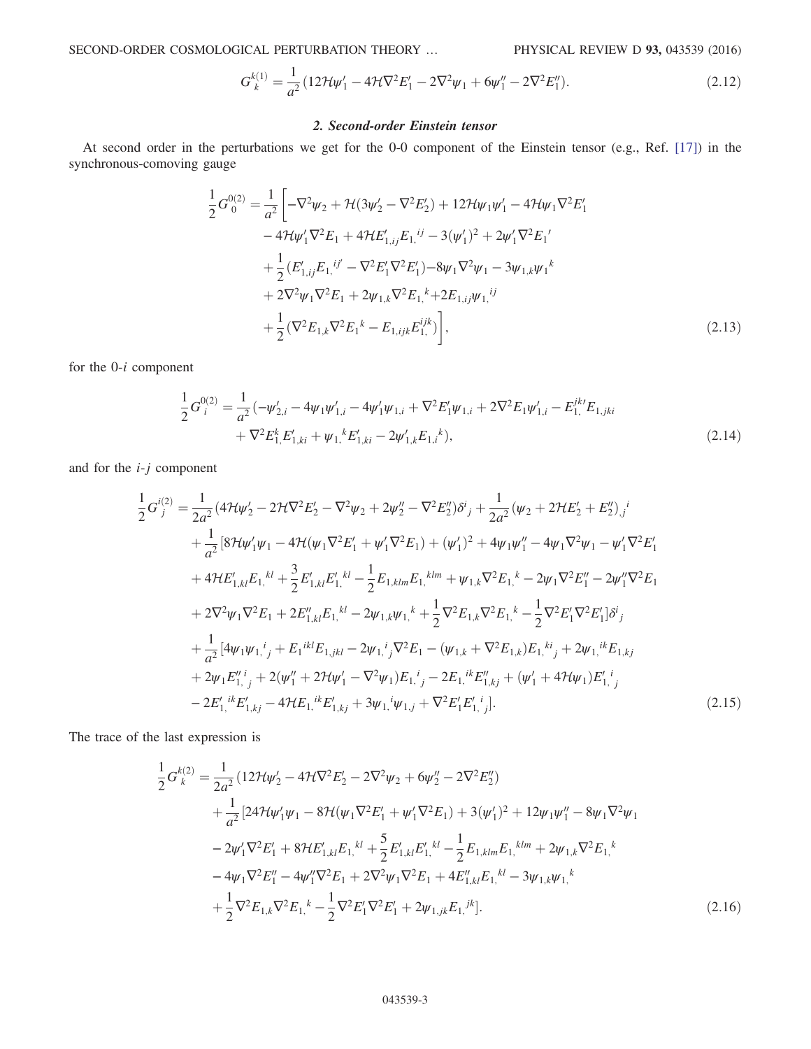SECOND-ORDER COSMOLOGICAL PERTURBATION THEORY ... PHYSICAL REVIEW D 93, 043539 (2016)

$$
G_k^{k(1)} = \frac{1}{a^2} \left( 12\mathcal{H}\psi_1' - 4\mathcal{H}\nabla^2 E_1' - 2\nabla^2 \psi_1 + 6\psi_1'' - 2\nabla^2 E_1'' \right). \tag{2.12}
$$

# 2. Second-order Einstein tensor

At second order in the perturbations we get for the 0-0 component of the Einstein tensor (e.g., Ref. [\[17\]\)](#page-11-8) in the synchronous-comoving gauge

$$
\frac{1}{2}G_0^{0(2)} = \frac{1}{a^2} \left[ -\nabla^2 \psi_2 + \mathcal{H}(3\psi_2' - \nabla^2 E_2') + 12\mathcal{H}\psi_1\psi_1' - 4\mathcal{H}\psi_1\nabla^2 E_1' \right. \n\left. - 4\mathcal{H}\psi_1'\nabla^2 E_1 + 4\mathcal{H}E_{1,ij}'E_1^{ij} - 3(\psi_1')^2 + 2\psi_1'\nabla^2 E_1' \right. \n\left. + \frac{1}{2}(E_{1,ij}'E_1^{ij'} - \nabla^2 E_1'\nabla^2 E_1') - 8\psi_1\nabla^2 \psi_1 - 3\psi_{1,k}\psi_1^k \right. \n\left. + 2\nabla^2 \psi_1\nabla^2 E_1 + 2\psi_{1,k}\nabla^2 E_1^k + 2E_{1,ij}\psi_1^{ij} \right. \n\left. + \frac{1}{2}(\nabla^2 E_{1,k}\nabla^2 E_1^k - E_{1,ijk}E_{1,}^{ijk}) \right],
$$
\n(2.13)

<span id="page-2-0"></span>for the  $0-i$  component

$$
\frac{1}{2}G_{i}^{0(2)} = \frac{1}{a^{2}}(-\psi'_{2,i} - 4\psi_{1}\psi'_{1,i} - 4\psi'_{1}\psi_{1,i} + \nabla^{2}E'_{1}\psi_{1,i} + 2\nabla^{2}E_{1}\psi'_{1,i} - E_{1,}^{jk}E_{1,jki} + \nabla^{2}E'_{1,}E'_{1,ki} + \psi_{1,}{}^{k}E'_{1,ki} - 2\psi'_{1,k}E_{1,i}{}^{k}),
$$
\n(2.14)

and for the  $i-j$  component

$$
\frac{1}{2}G_{j}^{(2)} = \frac{1}{2a^{2}}(4\mathcal{H}\psi_{2}' - 2\mathcal{H}\nabla^{2}E_{2}' - \nabla^{2}\psi_{2} + 2\psi_{2}'' - \nabla^{2}E_{2}'')\delta^{i}{}_{j} + \frac{1}{2a^{2}}(\psi_{2} + 2\mathcal{H}E_{2}' + E_{2}'')_{j}^{i} \n+ \frac{1}{a^{2}}[8\mathcal{H}\psi_{1}'\psi_{1} - 4\mathcal{H}(\psi_{1}\nabla^{2}E_{1}' + \psi_{1}'\nabla^{2}E_{1}) + (\psi_{1}')^{2} + 4\psi_{1}\psi_{1}'' - 4\psi_{1}\nabla^{2}\psi_{1} - \psi_{1}'\nabla^{2}E_{1}' + 4\mathcal{H}E_{1,kl}'E_{1,kl}^{i} + \frac{3}{2}E_{1,kl}'E_{1,kl}' - \frac{1}{2}E_{1,klm}E_{1,kl}^{klm} + \psi_{1,k}\nabla^{2}E_{1,kl}' - 2\psi_{1}\nabla^{2}E_{1}'' - 2\psi_{1}''\nabla^{2}E_{1} \n+ 2\nabla^{2}\psi_{1}\nabla^{2}E_{1} + 2E_{1,kl}''E_{1,kl} - 2\psi_{1,kl}\psi_{1,kl} + \frac{1}{2}\nabla^{2}E_{1,kl}\nabla^{2}E_{1,kl}' - \frac{1}{2}\nabla^{2}E_{1}'\nabla^{2}E_{1}'\delta^{i} \n+ \frac{1}{a^{2}}[4\psi_{1}\psi_{1,ij}' + E_{1}^{ikl}E_{1,jkl} - 2\psi_{1,ij}'\nabla^{2}E_{1} - (\psi_{1,k} + \nabla^{2}E_{1,k})E_{1,kl}' + 2\psi_{1,ik}^{ik}E_{1,kl} \n+ 2\psi_{1}E_{1,ij}'' + 2(\psi_{1}'' + 2\mathcal{H}\psi_{1}' - \nabla^{2}\psi_{1})E_{1,ij}' - 2E_{1,ik}'E_{1,kl}' + (\psi_{1}' + 4\mathcal{H}\psi_{1})E_{1,ij}' - 2E_{1,ik}'E_{1,kl}' - 4\mathcal{H}E_{1,ik}E
$$

<span id="page-2-1"></span>The trace of the last expression is

$$
\frac{1}{2}G_{k}^{k(2)} = \frac{1}{2a^{2}}(12\mathcal{H}\psi_{2}^{\prime} - 4\mathcal{H}\nabla^{2}E_{2}^{\prime} - 2\nabla^{2}\psi_{2} + 6\psi_{2}^{\prime\prime} - 2\nabla^{2}E_{2}^{\prime\prime}) \n+ \frac{1}{a^{2}}[24\mathcal{H}\psi_{1}^{\prime}\psi_{1} - 8\mathcal{H}(\psi_{1}\nabla^{2}E_{1}^{\prime} + \psi_{1}^{\prime}\nabla^{2}E_{1}) + 3(\psi_{1}^{\prime})^{2} + 12\psi_{1}\psi_{1}^{\prime\prime} - 8\psi_{1}\nabla^{2}\psi_{1} \n- 2\psi_{1}^{\prime}\nabla^{2}E_{1}^{\prime} + 8\mathcal{H}E_{1,kl}^{\prime}E_{1,kl}^{k} + \frac{5}{2}E_{1,kl}^{\prime}E_{1,kl}^{k} - \frac{1}{2}E_{1,klm}E_{1,kl}^{klm} + 2\psi_{1,k}\nabla^{2}E_{1,kl}^{k} \n- 4\psi_{1}\nabla^{2}E_{1}^{\prime\prime} - 4\psi_{1}^{\prime}\nabla^{2}E_{1} + 2\nabla^{2}\psi_{1}\nabla^{2}E_{1} + 4E_{1,kl}^{\prime\prime}E_{1,kl}^{k} - 3\psi_{1,k}\psi_{1,kl}^{k} \n+ \frac{1}{2}\nabla^{2}E_{1,k}\nabla^{2}E_{1,kl}^{k} - \frac{1}{2}\nabla^{2}E_{1}^{\prime}\nabla^{2}E_{1}^{\prime} + 2\psi_{1,jk}E_{1,kl}^{k}.
$$
\n(2.16)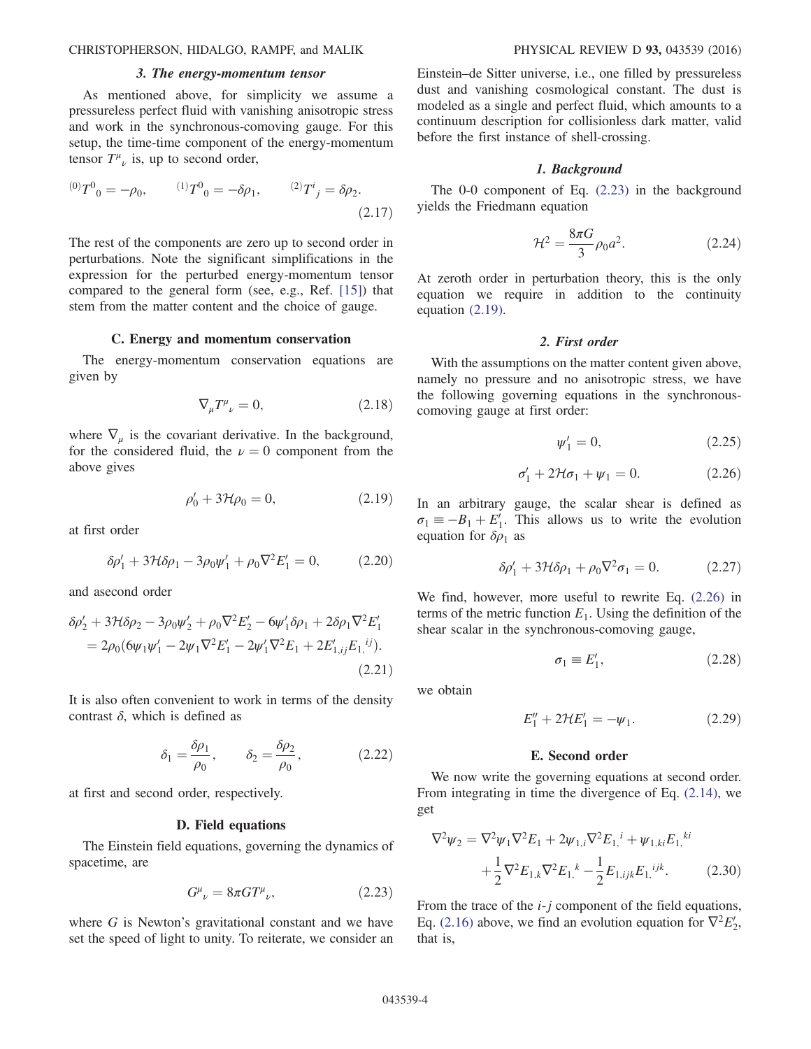### 3. The energy-momentum tensor

As mentioned above, for simplicity we assume a pressureless perfect fluid with vanishing anisotropic stress and work in the synchronous-comoving gauge. For this setup, the time-time component of the energy-momentum tensor  $T^{\mu}{}_{\nu}$  is, up to second order,

$$
^{(0)}T^{0}_{0} = -\rho_{0}, \qquad {}^{(1)}T^{0}_{0} = -\delta\rho_{1}, \qquad {}^{(2)}T^{i}_{j} = \delta\rho_{2}. \tag{2.17}
$$

The rest of the components are zero up to second order in perturbations. Note the significant simplifications in the expression for the perturbed energy-momentum tensor compared to the general form (see, e.g., Ref. [\[15\]](#page-11-7)) that stem from the matter content and the choice of gauge.

### C. Energy and momentum conservation

The energy-momentum conservation equations are given by

$$
\nabla_{\mu}T^{\mu}{}_{\nu}=0,\tag{2.18}
$$

<span id="page-3-1"></span>where  $\nabla_{\mu}$  is the covariant derivative. In the background, for the considered fluid, the  $\nu = 0$  component from the above gives

$$
\rho_0' + 3\mathcal{H}\rho_0 = 0, \tag{2.19}
$$

at first order

$$
\delta \rho_1' + 3\mathcal{H} \delta \rho_1 - 3\rho_0 \psi_1' + \rho_0 \nabla^2 E_1' = 0, \tag{2.20}
$$

<span id="page-3-9"></span>and asecond order

$$
\delta \rho_2' + 3\mathcal{H} \delta \rho_2 - 3\rho_0 \psi_2' + \rho_0 \nabla^2 E_2' - 6\psi_1' \delta \rho_1 + 2\delta \rho_1 \nabla^2 E_1'
$$
  
=  $2\rho_0 (6\psi_1 \psi_1' - 2\psi_1 \nabla^2 E_1' - 2\psi_1' \nabla^2 E_1 + 2E_{1,ij}' E_{1,ij}).$  (2.21)

<span id="page-3-10"></span>It is also often convenient to work in terms of the density contrast  $\delta$ , which is defined as

$$
\delta_1 = \frac{\delta \rho_1}{\rho_0}, \qquad \delta_2 = \frac{\delta \rho_2}{\rho_0}, \tag{2.22}
$$

at first and second order, respectively.

### D. Field equations

<span id="page-3-0"></span>The Einstein field equations, governing the dynamics of spacetime, are

$$
G^{\mu}_{\ \nu} = 8\pi G T^{\mu}_{\ \nu},\tag{2.23}
$$

where G is Newton's gravitational constant and we have set the speed of light to unity. To reiterate, we consider an Einstein–de Sitter universe, i.e., one filled by pressureless dust and vanishing cosmological constant. The dust is modeled as a single and perfect fluid, which amounts to a continuum description for collisionless dark matter, valid before the first instance of shell-crossing.

### 1. Background

<span id="page-3-5"></span>The 0-0 component of Eq. [\(2.23\)](#page-3-0) in the background yields the Friedmann equation

$$
\mathcal{H}^2 = \frac{8\pi G}{3} \rho_0 a^2.
$$
 (2.24)

At zeroth order in perturbation theory, this is the only equation we require in addition to the continuity equation [\(2.19\).](#page-3-1)

# 2. First order

<span id="page-3-6"></span>With the assumptions on the matter content given above, namely no pressure and no anisotropic stress, we have the following governing equations in the synchronouscomoving gauge at first order:

$$
\psi_1' = 0,\t(2.25)
$$

$$
\sigma_1' + 2\mathcal{H}\sigma_1 + \psi_1 = 0. \tag{2.26}
$$

<span id="page-3-7"></span><span id="page-3-2"></span>In an arbitrary gauge, the scalar shear is defined as  $\sigma_1 \equiv -B_1 + E'_1$ . This allows us to write the evolution equation for  $\delta \rho$ , as equation for  $\delta \rho_1$  as

$$
\delta \rho_1' + 3\mathcal{H} \delta \rho_1 + \rho_0 \nabla^2 \sigma_1 = 0. \tag{2.27}
$$

<span id="page-3-8"></span>We find, however, more useful to rewrite Eq. [\(2.26\)](#page-3-2) in terms of the metric function  $E_1$ . Using the definition of the shear scalar in the synchronous-comoving gauge,

$$
\sigma_1 \equiv E_1',\tag{2.28}
$$

<span id="page-3-3"></span>we obtain

$$
E_1'' + 2\mathcal{H}E_1' = -\psi_1. \tag{2.29}
$$

### E. Second order

<span id="page-3-4"></span>We now write the governing equations at second order. From integrating in time the divergence of Eq. [\(2.14\),](#page-2-0) we get

$$
\nabla^2 \psi_2 = \nabla^2 \psi_1 \nabla^2 E_1 + 2 \psi_{1,i} \nabla^2 E_{1,i}{}^i + \psi_{1,ki} E_{1,i}{}^{ki} + \frac{1}{2} \nabla^2 E_{1,k} \nabla^2 E_{1,i}{}^k - \frac{1}{2} E_{1,ijk} E_{1,i}{}^{ijk}.
$$
 (2.30)

From the trace of the  $i-j$  component of the field equations, Eq. [\(2.16\)](#page-2-1) above, we find an evolution equation for  $\nabla^2 E_2$ , that is,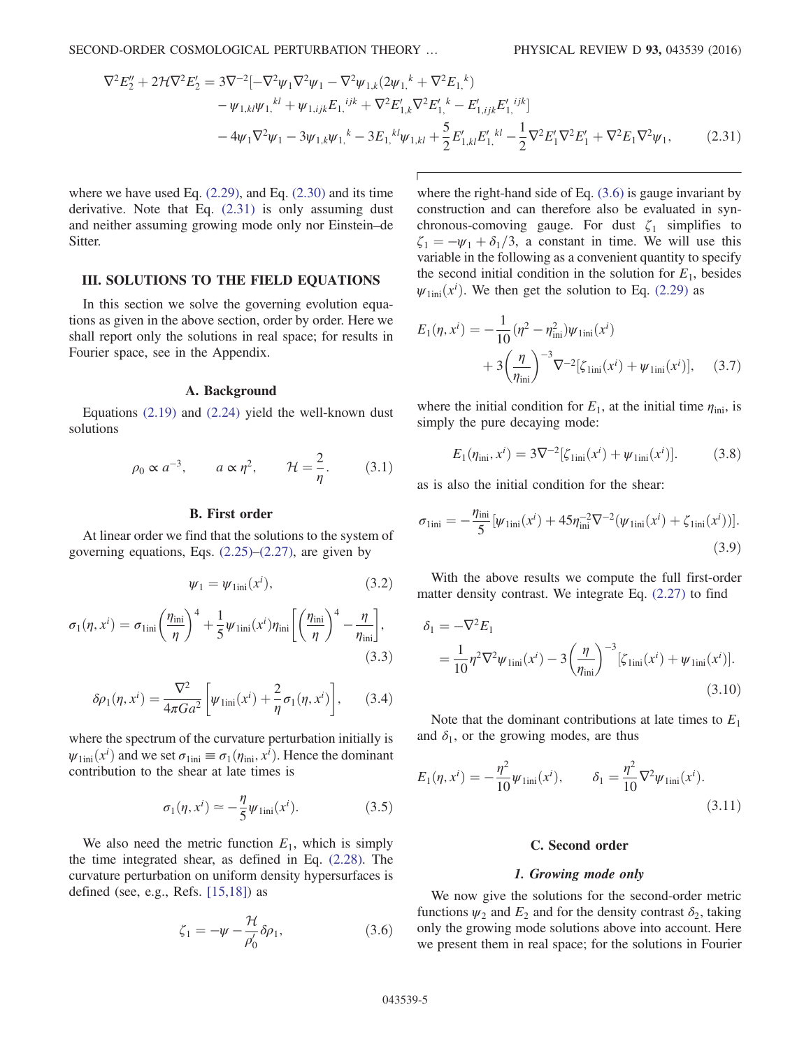<span id="page-4-1"></span>
$$
\nabla^{2}E_{2}^{\prime\prime} + 2\mathcal{H}\nabla^{2}E_{2}^{\prime} = 3\nabla^{-2}[-\nabla^{2}\psi_{1}\nabla^{2}\psi_{1} - \nabla^{2}\psi_{1,k}(2\psi_{1,k}^{k} + \nabla^{2}E_{1,k}^{k})- \psi_{1,kl}\psi_{1,k}^{k} + \psi_{1,ijk}E_{1,k}^{ijk} + \nabla^{2}E_{1,k}^{\prime}\nabla^{2}E_{1,k}^{\prime} - E_{1,ijk}^{\prime}E_{1,k}^{\prime}^{ijk}]- 4\psi_{1}\nabla^{2}\psi_{1} - 3\psi_{1,k}\psi_{1,k}^{k} - 3E_{1,k}^{k}I\psi_{1,kl} + \frac{5}{2}E_{1,kl}^{\prime}E_{1,k}^{\prime} - \frac{1}{2}\nabla^{2}E_{1}^{\prime}\nabla^{2}E_{1}^{\prime} + \nabla^{2}E_{1}\nabla^{2}\psi_{1},
$$
\n(2.31)

where we have used Eq. [\(2.29\),](#page-3-3) and Eq. [\(2.30\)](#page-3-4) and its time derivative. Note that Eq. [\(2.31\)](#page-4-1) is only assuming dust and neither assuming growing mode only nor Einstein–de Sitter.

# <span id="page-4-0"></span>III. SOLUTIONS TO THE FIELD EQUATIONS

In this section we solve the governing evolution equations as given in the above section, order by order. Here we shall report only the solutions in real space; for results in Fourier space, see in the Appendix.

### A. Background

Equations [\(2.19\)](#page-3-1) and [\(2.24\)](#page-3-5) yield the well-known dust solutions

$$
\rho_0 \propto a^{-3}, \qquad a \propto \eta^2, \qquad \mathcal{H} = \frac{2}{\eta}.
$$
 (3.1)

#### B. First order

At linear order we find that the solutions to the system of governing equations, Eqs. [\(2.25\)](#page-3-6)–[\(2.27\)](#page-3-7), are given by

$$
\psi_1 = \psi_{1\text{ini}}(x^i),\tag{3.2}
$$

$$
\sigma_1(\eta, x^i) = \sigma_{\text{1ini}} \left(\frac{\eta_{\text{ini}}}{\eta}\right)^4 + \frac{1}{5} \psi_{\text{1ini}}(x^i) \eta_{\text{ini}} \left[\left(\frac{\eta_{\text{ini}}}{\eta}\right)^4 - \frac{\eta}{\eta_{\text{ini}}}\right],\tag{3.3}
$$

$$
\delta\rho_1(\eta, x^i) = \frac{\nabla^2}{4\pi G a^2} \left[ \psi_{1\text{ini}}(x^i) + \frac{2}{\eta} \sigma_1(\eta, x^i) \right],\tag{3.4}
$$

where the spectrum of the curvature perturbation initially is  $\psi_{\text{Init}}(x^i)$  and we set  $\sigma_{\text{Init}} \equiv \sigma_1(\eta_{\text{ini}}, x^i)$ . Hence the dominant contribution to the shear at late times is contribution to the shear at late times is

$$
\sigma_1(\eta, x^i) \simeq -\frac{\eta}{5} \psi_{\text{1ini}}(x^i). \tag{3.5}
$$

<span id="page-4-2"></span>We also need the metric function  $E_1$ , which is simply the time integrated shear, as defined in Eq. [\(2.28\)](#page-3-8). The curvature perturbation on uniform density hypersurfaces is defined (see, e.g., Refs. [\[15,18\]\)](#page-11-7) as

$$
\zeta_1 = -\psi - \frac{\mathcal{H}}{\rho'_0} \delta \rho_1,\tag{3.6}
$$

where the right-hand side of Eq. [\(3.6\)](#page-4-2) is gauge invariant by construction and can therefore also be evaluated in synchronous-comoving gauge. For dust  $\zeta_1$  simplifies to  $\zeta_1 = -\psi_1 + \delta_1/3$ , a constant in time. We will use this variable in the following as a convenient quantity to specify the second initial condition in the solution for  $E_1$ , besides  $\psi_{\text{1ini}}(x^i)$ . We then get the solution to Eq. [\(2.29\)](#page-3-3) as

<span id="page-4-3"></span>
$$
E_1(\eta, x^i) = -\frac{1}{10} (\eta^2 - \eta_{\text{ini}}^2) \psi_{1\text{ini}}(x^i) + 3 \left(\frac{\eta}{\eta_{\text{ini}}}\right)^{-3} \nabla^{-2} [\zeta_{1\text{ini}}(x^i) + \psi_{1\text{ini}}(x^i)],
$$
 (3.7)

where the initial condition for  $E_1$ , at the initial time  $\eta_{\text{ini}}$ , is simply the pure decaying mode:

$$
E_1(\eta_{\text{ini}}, x^i) = 3\nabla^{-2}[\zeta_{1\text{ini}}(x^i) + \psi_{1\text{ini}}(x^i)].
$$
 (3.8)

as is also the initial condition for the shear:

$$
\sigma_{\text{1ini}} = -\frac{\eta_{\text{ini}}}{5} [\psi_{\text{1ini}}(x^i) + 45\eta_{\text{ini}}^{-2} \nabla^{-2} (\psi_{\text{1ini}}(x^i) + \zeta_{\text{1ini}}(x^i))].
$$
\n(3.9)

With the above results we compute the full first-order matter density contrast. We integrate Eq. [\(2.27\)](#page-3-7) to find

$$
\delta_1 = -\nabla^2 E_1
$$
  
=  $\frac{1}{10} \eta^2 \nabla^2 \psi_{1\text{ini}}(x^i) - 3 \left(\frac{\eta}{\eta_{\text{ini}}}\right)^{-3} [\zeta_{1\text{ini}}(x^i) + \psi_{1\text{ini}}(x^i)].$  (3.10)

Note that the dominant contributions at late times to  $E_1$ and  $\delta_1$ , or the growing modes, are thus

$$
E_1(\eta, x^i) = -\frac{\eta^2}{10} \psi_{1\text{ini}}(x^i), \qquad \delta_1 = \frac{\eta^2}{10} \nabla^2 \psi_{1\text{ini}}(x^i). \tag{3.11}
$$

# C. Second order

### 1. Growing mode only

<span id="page-4-4"></span>We now give the solutions for the second-order metric functions  $\psi_2$  and  $E_2$  and for the density contrast  $\delta_2$ , taking only the growing mode solutions above into account. Here we present them in real space; for the solutions in Fourier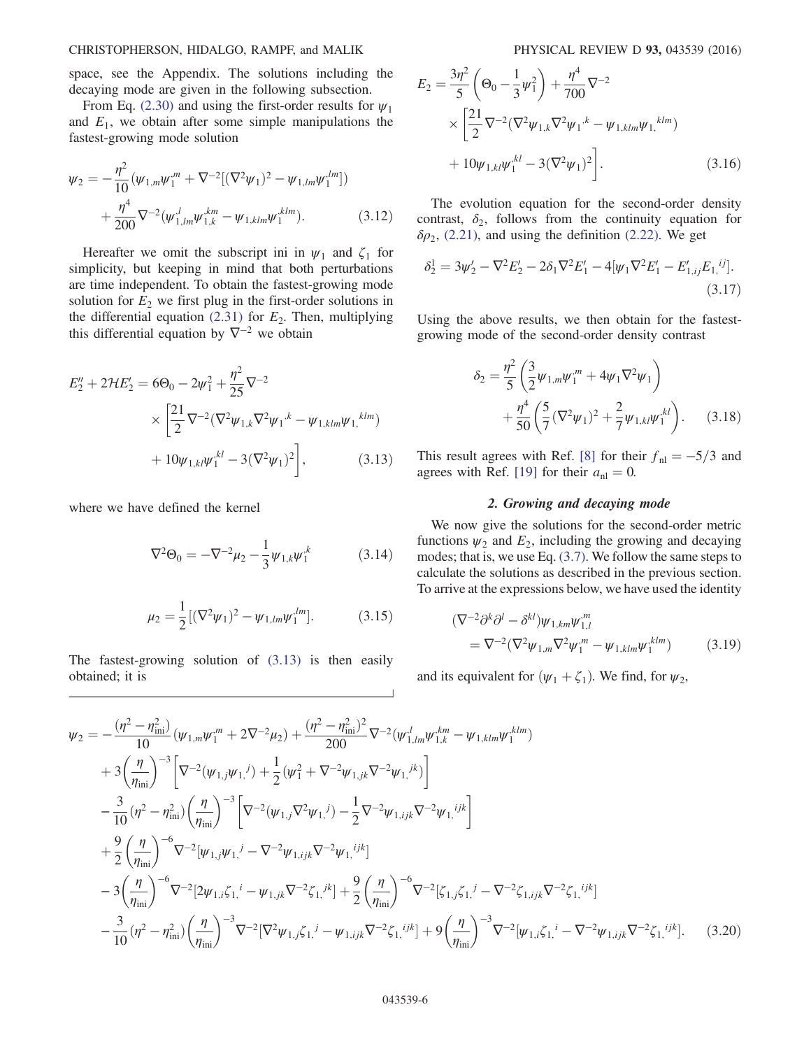### CHRISTOPHERSON, HIDALGO, RAMPF, and MALIK PHYSICAL REVIEW D 93, 043539 (2016)

space, see the Appendix. The solutions including the decaying mode are given in the following subsection.

From Eq. [\(2.30\)](#page-3-4) and using the first-order results for  $\psi_1$ and  $E_1$ , we obtain after some simple manipulations the fastest-growing mode solution

$$
\psi_2 = -\frac{\eta^2}{10} (\psi_{1,m} \psi_1^m + \nabla^{-2} [(\nabla^2 \psi_1)^2 - \psi_{1,lm} \psi_1^{lm}]) + \frac{\eta^4}{200} \nabla^{-2} (\psi_{1,lm}^{l} \psi_{1,k}^{km} - \psi_{1,klm} \psi_1^{klm}).
$$
(3.12)

Hereafter we omit the subscript ini in  $\psi_1$  and  $\zeta_1$  for simplicity, but keeping in mind that both perturbations are time independent. To obtain the fastest-growing mode solution for  $E_2$  we first plug in the first-order solutions in the differential equation [\(2.31\)](#page-4-1) for  $E_2$ . Then, multiplying this differential equation by  $\nabla^{-2}$  we obtain

<span id="page-5-0"></span>
$$
E''_2 + 2\mathcal{H}E'_2 = 6\Theta_0 - 2\psi_1^2 + \frac{\eta^2}{25}\nabla^{-2}
$$
  
 
$$
\times \left[ \frac{21}{2}\nabla^{-2}(\nabla^2\psi_{1,k}\nabla^2\psi_1^{\ k} - \psi_{1,klm}\psi_1^{\ klm}) + 10\psi_{1,kl}\psi_1^{\ kl} - 3(\nabla^2\psi_1)^2 \right], \tag{3.13}
$$

<span id="page-5-2"></span><span id="page-5-1"></span>where we have defined the kernel

$$
\nabla^2 \Theta_0 = -\nabla^{-2} \mu_2 - \frac{1}{3} \psi_{1,k} \psi_1^k \tag{3.14}
$$

$$
\mu_2 = \frac{1}{2} [(\nabla^2 \psi_1)^2 - \psi_{1,lm} \psi_1^{lm}]. \tag{3.15}
$$

<span id="page-5-4"></span>The fastest-growing solution of [\(3.13\)](#page-5-0) is then easily obtained; it is

$$
E_2 = \frac{3\eta^2}{5} \left( \Theta_0 - \frac{1}{3} \psi_1^2 \right) + \frac{\eta^4}{700} \nabla^{-2}
$$
  
 
$$
\times \left[ \frac{21}{2} \nabla^{-2} (\nabla^2 \psi_{1,k} \nabla^2 \psi_1^k - \psi_{1,klm} \psi_1^{\ \ klm}) + 10 \psi_{1,kl} \psi_1^{kl} - 3 (\nabla^2 \psi_1)^2 \right]. \tag{3.16}
$$

The evolution equation for the second-order density contrast,  $\delta_2$ , follows from the continuity equation for  $\delta \rho_2$ , [\(2.21\),](#page-3-9) and using the definition [\(2.22\)](#page-3-10). We get

$$
\delta_2^1 = 3\psi'_2 - \nabla^2 E'_2 - 2\delta_1 \nabla^2 E'_1 - 4[\psi_1 \nabla^2 E'_1 - E'_{1,ij} E_1^{ij}].
$$
\n(3.17)

<span id="page-5-5"></span>Using the above results, we then obtain for the fastestgrowing mode of the second-order density contrast

$$
\delta_2 = \frac{\eta^2}{5} \left( \frac{3}{2} \psi_{1,m} \psi_1^m + 4 \psi_1 \nabla^2 \psi_1 \right) + \frac{\eta^4}{50} \left( \frac{5}{7} (\nabla^2 \psi_1)^2 + \frac{2}{7} \psi_{1,kl} \psi_1^{kl} \right).
$$
 (3.18)

This result agrees with Ref. [\[8\]](#page-11-9) for their  $f_{nl} = -5/3$  and agrees with Ref. [\[19\]](#page-11-10) for their  $a_{nl} = 0$ .

# 2. Growing and decaying mode

We now give the solutions for the second-order metric functions  $\psi_2$  and  $E_2$ , including the growing and decaying modes; that is, we use Eq. [\(3.7\)](#page-4-3). We follow the same steps to calculate the solutions as described in the previous section. To arrive at the expressions below, we have used the identity

<span id="page-5-3"></span>
$$
(\nabla^{-2} \partial^k \partial^l - \delta^{kl}) \psi_{1,km} \psi_{1,l}^m = \nabla^{-2} (\nabla^2 \psi_{1,m} \nabla^2 \psi_1^m - \psi_{1,klm} \psi_1^{klm})
$$
(3.19)

and its equivalent for  $(\psi_1 + \zeta_1)$ . We find, for  $\psi_2$ ,

$$
\psi_{2} = -\frac{(\eta^{2} - \eta_{\text{ini}}^{2})}{10} (\psi_{1,m} \psi_{1}^{m} + 2\nabla^{-2} \mu_{2}) + \frac{(\eta^{2} - \eta_{\text{ini}}^{2})^{2}}{200} \nabla^{-2} (\psi_{1,lm}^{l} \psi_{1,k}^{km} - \psi_{1,klm} \psi_{1}^{klm}) \n+ 3 \left(\frac{\eta}{\eta_{\text{ini}}}\right)^{-3} \left[\nabla^{-2} (\psi_{1,j} \psi_{1,}^{j}) + \frac{1}{2} (\psi_{1}^{2} + \nabla^{-2} \psi_{1,jk} \nabla^{-2} \psi_{1,j}^{j})\right] \n- \frac{3}{10} (\eta^{2} - \eta_{\text{ini}}^{2}) \left(\frac{\eta}{\eta_{\text{ini}}}\right)^{-3} \left[\nabla^{-2} (\psi_{1,j} \nabla^{2} \psi_{1,}^{j}) - \frac{1}{2} \nabla^{-2} \psi_{1,ijk} \nabla^{-2} \psi_{1,ijk}\right] \n+ \frac{9}{2} \left(\frac{\eta}{\eta_{\text{ini}}}\right)^{-6} \nabla^{-2} [\psi_{1,j} \psi_{1,}^{j} - \nabla^{-2} \psi_{1,ijk} \nabla^{-2} \psi_{1,ij}^{j} \nabla \psi_{1,ij}^{j}] \n- 3 \left(\frac{\eta}{\eta_{\text{ini}}}\right)^{-6} \nabla^{-2} [2 \psi_{1,i} \zeta_{1,}^{j} - \psi_{1,jk} \nabla^{-2} \zeta_{1,}^{j} \psi_{1}^{j} + \frac{9}{2} \left(\frac{\eta}{\eta_{\text{ini}}}\right)^{-6} \nabla^{-2} [\zeta_{1,j} \zeta_{1,}^{j} - \nabla^{-2} \zeta_{1,ijk} \nabla^{-2} \zeta_{1,}^{j} \psi_{1}^{j}] \n- \frac{3}{10} (\eta^{2} - \eta_{\text{ini}}^{2}) \left(\frac{\eta}{\eta_{\text{ini}}}\right)^{-3} \nabla^{-2} [\nabla^{2} \psi_{1,j} \zeta_{1,}^{j} - \psi_{1,ijk} \nabla^{-2} \zeta_{1,}^{j} \psi_{1}^{j} + 9 \left(\frac{\eta}{\
$$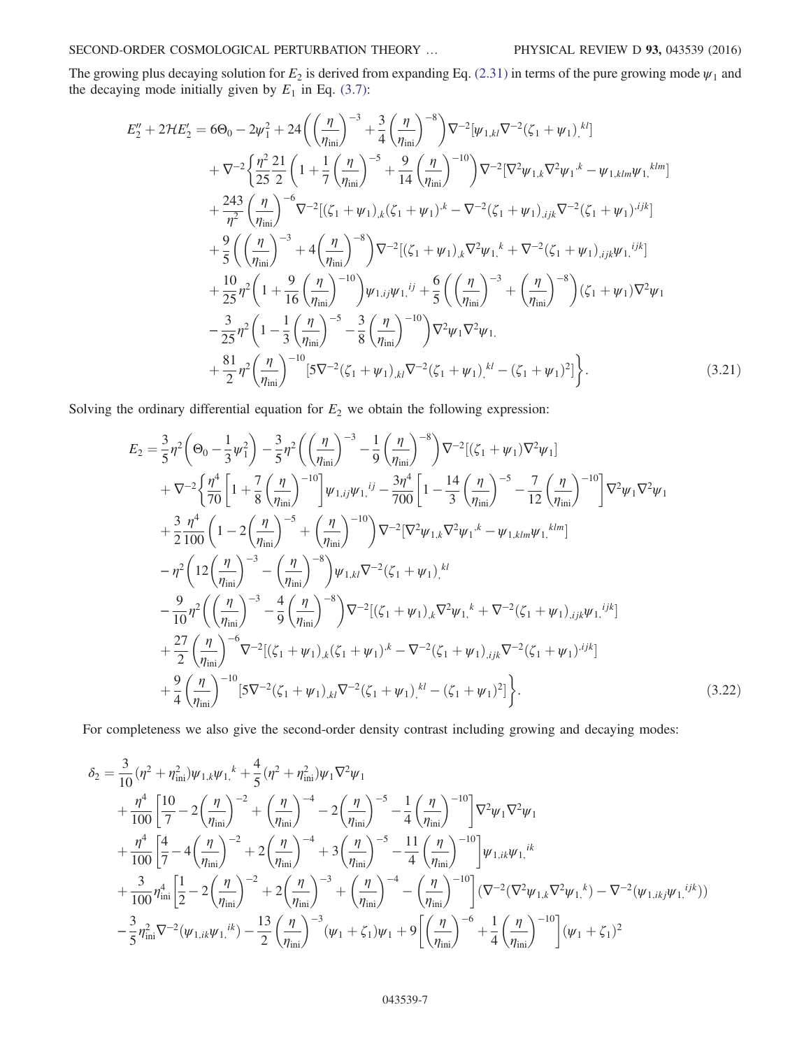The growing plus decaying solution for  $E_2$  is derived from expanding Eq. [\(2.31\)](#page-4-1) in terms of the pure growing mode  $\psi_1$  and the decaying mode initially given by  $E_1$  in Eq. [\(3.7\)](#page-4-3):

$$
E_{2}'' + 2\mathcal{H}E_{2}' = 6\Theta_{0} - 2\psi_{1}^{2} + 24\left(\left(\frac{\eta}{\eta_{\text{ini}}}\right)^{-3} + \frac{3}{4}\left(\frac{\eta}{\eta_{\text{ini}}}\right)^{-8}\right)\nabla^{-2}[\psi_{1,kl}\nabla^{-2}(\zeta_{1} + \psi_{1})] + \nabla^{-2}\left\{\frac{\eta^{2}}{25}\frac{21}{2}\left(1 + \frac{1}{7}\left(\frac{\eta}{\eta_{\text{ini}}}\right)^{-5} + \frac{9}{14}\left(\frac{\eta}{\eta_{\text{ini}}}\right)^{-10}\right)\nabla^{-2}[\nabla^{2}\psi_{1,k}\nabla^{2}\psi_{1}^{k} - \psi_{1,klm}\psi_{1}^{klm}] + \frac{243}{\eta^{2}}\left(\frac{\eta}{\eta_{\text{ini}}}\right)^{-6}\nabla^{-2}[(\zeta_{1} + \psi_{1})_{,k}(\zeta_{1} + \psi_{1})^{k} - \nabla^{-2}(\zeta_{1} + \psi_{1})_{,ijk}\nabla^{-2}(\zeta_{1} + \psi_{1})^{,ijk}] + \frac{9}{5}\left(\left(\frac{\eta}{\eta_{\text{ini}}}\right)^{-3} + 4\left(\frac{\eta}{\eta_{\text{ini}}}\right)^{-8}\right)\nabla^{-2}[(\zeta_{1} + \psi_{1})_{,k}\nabla^{2}\psi_{1,}^{k} + \nabla^{-2}(\zeta_{1} + \psi_{1})_{,ijk}\psi_{1,}^{ijk}] + \frac{10}{25}\eta^{2}\left(1 + \frac{9}{16}\left(\frac{\eta}{\eta_{\text{ini}}}\right)^{-10}\right)\psi_{1,ij}\psi_{1,ij}^{l} + \frac{6}{5}\left(\left(\frac{\eta}{\eta_{\text{ini}}}\right)^{-3} + \left(\frac{\eta}{\eta_{\text{ini}}}\right)^{-8}\right)(\zeta_{1} + \psi_{1})\nabla^{2}\psi_{1} - \frac{3}{25}\eta^{2}\left(1 - \frac{1}{3}\left(\frac{\eta}{\eta_{\text{ini}}}\right)^{-5} - \frac{3}{8}\left(\frac{\eta}{\eta_{\text{ini}}}\right)^{-10}\right)\nabla^{2}\psi_{1}\nabla^{2}\psi_{1} + \frac{81}{2}\eta^{2}\left(\
$$

Solving the ordinary differential equation for  $E_2$  we obtain the following expression:

$$
E_{2} = \frac{3}{5}\eta^{2} \left(\Theta_{0} - \frac{1}{3}\psi_{1}^{2}\right) - \frac{3}{5}\eta^{2} \left(\left(\frac{\eta}{\eta_{\text{ini}}}\right)^{-3} - \frac{1}{9}\left(\frac{\eta}{\eta_{\text{ini}}}\right)^{-8}\right) \nabla^{-2}[(\zeta_{1} + \psi_{1})\nabla^{2}\psi_{1}] + \nabla^{-2} \left\{\frac{\eta^{4}}{70}\left[1 + \frac{7}{8}\left(\frac{\eta}{\eta_{\text{ini}}}\right)^{-10}\right]\psi_{1,ij}\psi_{1,ij} - \frac{3\eta^{4}}{700}\left[1 - \frac{14}{3}\left(\frac{\eta}{\eta_{\text{ini}}}\right)^{-5} - \frac{7}{12}\left(\frac{\eta}{\eta_{\text{ini}}}\right)^{-10}\right] \nabla^{2}\psi_{1}\nabla^{2}\psi_{1} + \frac{3}{2}\frac{\eta^{4}}{100}\left(1 - 2\left(\frac{\eta}{\eta_{\text{ini}}}\right)^{-5} + \left(\frac{\eta}{\eta_{\text{ini}}}\right)^{-10}\right) \nabla^{-2}[\nabla^{2}\psi_{1,k}\nabla^{2}\psi_{1,k} - \psi_{1,klm}\psi_{1,klm}] - \eta^{2} \left(12\left(\frac{\eta}{\eta_{\text{ini}}}\right)^{-3} - \left(\frac{\eta}{\eta_{\text{ini}}}\right)^{-8}\right)\psi_{1,kl}\nabla^{-2}(\zeta_{1} + \psi_{1})_{,l}^{kl} - \frac{9}{10}\eta^{2} \left(\left(\frac{\eta}{\eta_{\text{ini}}}\right)^{-3} - \frac{4}{9}\left(\frac{\eta}{\eta_{\text{ini}}}\right)^{-8}\right) \nabla^{-2}[(\zeta_{1} + \psi_{1})_{,k}\nabla^{2}\psi_{1,}^{k} + \nabla^{-2}(\zeta_{1} + \psi_{1})_{,ijk}\psi_{1,}^{ijk}] + \frac{27}{2}\left(\frac{\eta}{\eta_{\text{ini}}}\right)^{-6}\nabla^{-2}[(\zeta_{1} + \psi_{1})_{,k}(\zeta_{1} + \psi_{1})^{k} - \nabla^{-2}(\zeta_{1} + \psi_{1})_{,ijk}\nabla^{-2}(\zeta_{1} + \
$$

For completeness we also give the second-order density contrast including growing and decaying modes:

$$
\delta_2 = \frac{3}{10} (\eta^2 + \eta_{\text{ini}}^2) \psi_{1,k} \psi_{1,k} + \frac{4}{5} (\eta^2 + \eta_{\text{ini}}^2) \psi_1 \nabla^2 \psi_1 \n+ \frac{\eta^4}{100} \left[ \frac{10}{7} - 2 \left( \frac{\eta}{\eta_{\text{ini}}} \right)^{-2} + \left( \frac{\eta}{\eta_{\text{ini}}} \right)^{-4} - 2 \left( \frac{\eta}{\eta_{\text{ini}}} \right)^{-5} - \frac{1}{4} \left( \frac{\eta}{\eta_{\text{ini}}} \right)^{-10} \right] \nabla^2 \psi_1 \nabla^2 \psi_1 \n+ \frac{\eta^4}{100} \left[ \frac{4}{7} - 4 \left( \frac{\eta}{\eta_{\text{ini}}} \right)^{-2} + 2 \left( \frac{\eta}{\eta_{\text{ini}}} \right)^{-4} + 3 \left( \frac{\eta}{\eta_{\text{ini}}} \right)^{-5} - \frac{11}{4} \left( \frac{\eta}{\eta_{\text{ini}}} \right)^{-10} \right] \psi_{1,ik} \psi_{1,ik} \n+ \frac{3}{100} \eta_{\text{ini}}^4 \left[ \frac{1}{2} - 2 \left( \frac{\eta}{\eta_{\text{ini}}} \right)^{-2} + 2 \left( \frac{\eta}{\eta_{\text{ini}}} \right)^{-3} + \left( \frac{\eta}{\eta_{\text{ini}}} \right)^{-4} - \left( \frac{\eta}{\eta_{\text{ini}}} \right)^{-10} \right] (\nabla^{-2} (\nabla^2 \psi_{1,k} \nabla^2 \psi_{1,k}) - \nabla^{-2} (\psi_{1,ik} \psi_{1,ik} \psi_{1,ik}) ) \n- \frac{3}{5} \eta_{\text{ini}}^2 \nabla^{-2} (\psi_{1,ik} \psi_{1,ik} ) - \frac{13}{2} \left( \frac{\eta}{\eta_{\text{ini}}} \right)^{-3} (\psi_1 + \zeta_1) \psi_1 + 9 \left[ \left( \frac{\eta}{\eta_{\text{ini}}} \right)^{-6} + \frac{1}{4} \left( \frac{\eta}{\eta_{\text{ini}}} \right)^{-10} \right] (\psi_1 + \zeta_1)^2
$$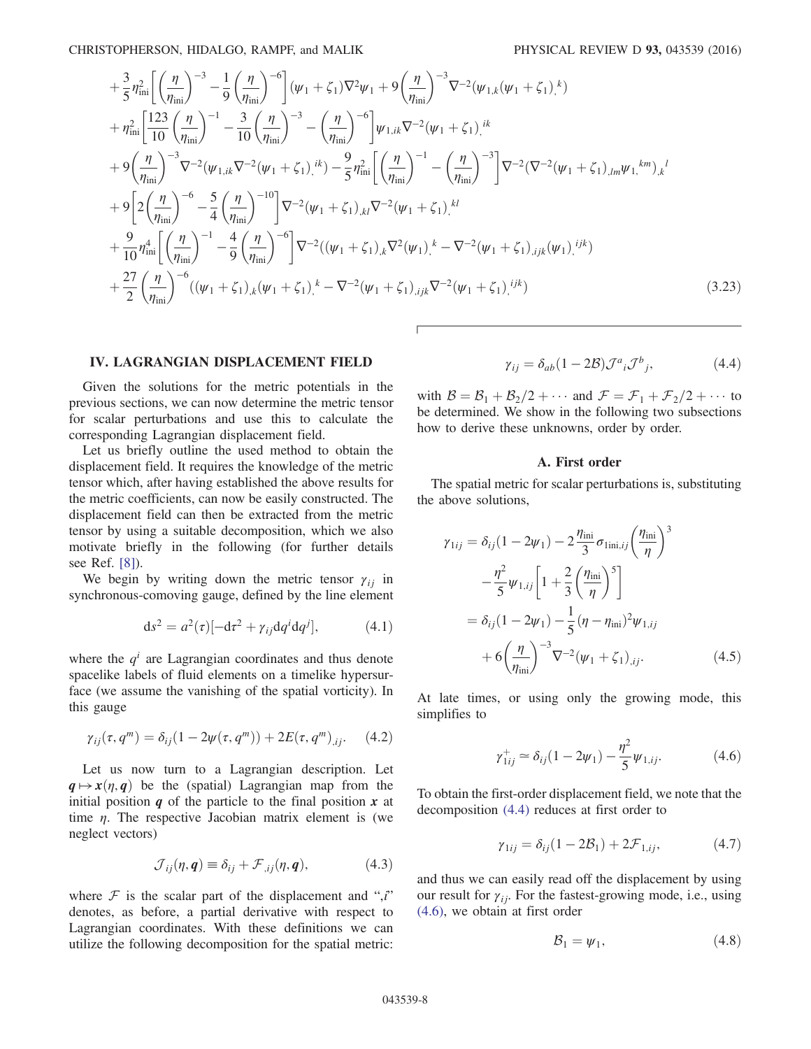CHRISTOPHERSON, HIDALGO, RAMPF, and MALIK PHYSICAL REVIEW D 93, 043539 (2016)

$$
+\frac{3}{5}\eta_{\text{ini}}^{2}\left[\left(\frac{\eta}{\eta_{\text{ini}}}\right)^{-3}-\frac{1}{9}\left(\frac{\eta}{\eta_{\text{ini}}}\right)^{-6}\right](\psi_{1}+\zeta_{1})\nabla^{2}\psi_{1}+9\left(\frac{\eta}{\eta_{\text{ini}}}\right)^{-3}\nabla^{-2}(\psi_{1,k}(\psi_{1}+\zeta_{1})^{k})+\eta_{\text{ini}}^{2}\left[\frac{123}{10}\left(\frac{\eta}{\eta_{\text{ini}}}\right)^{-1}-\frac{3}{10}\left(\frac{\eta}{\eta_{\text{ini}}}\right)^{-3}-\left(\frac{\eta}{\eta_{\text{ini}}}\right)^{-6}\right]\psi_{1,ik}\nabla^{-2}(\psi_{1}+\zeta_{1})^{ik}+9\left(\frac{\eta}{\eta_{\text{ini}}}\right)^{-3}\nabla^{-2}(\psi_{1,ik}\nabla^{-2}(\psi_{1}+\zeta_{1})^{ik})-\frac{9}{5}\eta_{\text{ini}}^{2}\left[\left(\frac{\eta}{\eta_{\text{ini}}}\right)^{-1}-\left(\frac{\eta}{\eta_{\text{ini}}}\right)^{-3}\right]\nabla^{-2}(\nabla^{-2}(\psi_{1}+\zeta_{1})_{,lm}\psi_{1})^{k}+9\left[2\left(\frac{\eta}{\eta_{\text{ini}}}\right)^{-6}-\frac{5}{4}\left(\frac{\eta}{\eta_{\text{ini}}}\right)^{-10}\right]\nabla^{-2}(\psi_{1}+\zeta_{1})_{,kl}\nabla^{-2}(\psi_{1}+\zeta_{1})^{kl}+\frac{9}{10}\eta_{\text{ini}}^{4}\left[\left(\frac{\eta}{\eta_{\text{ini}}}\right)^{-1}-\frac{4}{9}\left(\frac{\eta}{\eta_{\text{ini}}}\right)^{-6}\right]\nabla^{-2}((\psi_{1}+\zeta_{1})_{,k}\nabla^{2}(\psi_{1})^{k}-\nabla^{-2}(\psi_{1}+\zeta_{1})_{,ijk}(\psi_{1})^{ijk})+\frac{27}{2}\left(\frac{\eta}{\eta_{\text{ini}}}\right)^{-6}((\psi_{1}+\zeta_{1})_{,k}(\psi_{1}+\zeta_{1})^{k}-\nabla^{-2}(\psi_{1}+\zeta_{1})_{,ijk}\nabla^{-2}(\psi_{1}+\zeta_{1})^{ijk}
$$
(3.2

# <span id="page-7-0"></span>IV. LAGRANGIAN DISPLACEMENT FIELD

Given the solutions for the metric potentials in the previous sections, we can now determine the metric tensor for scalar perturbations and use this to calculate the corresponding Lagrangian displacement field.

Let us briefly outline the used method to obtain the displacement field. It requires the knowledge of the metric tensor which, after having established the above results for the metric coefficients, can now be easily constructed. The displacement field can then be extracted from the metric tensor by using a suitable decomposition, which we also motivate briefly in the following (for further details see Ref. [\[8\]](#page-11-9)).

We begin by writing down the metric tensor  $\gamma_{ii}$  in synchronous-comoving gauge, defined by the line element

$$
ds^{2} = a^{2}(\tau)[-d\tau^{2} + \gamma_{ij}dq^{i}dq^{j}], \qquad (4.1)
$$

where the  $q<sup>i</sup>$  are Lagrangian coordinates and thus denote spacelike labels of fluid elements on a timelike hypersurface (we assume the vanishing of the spatial vorticity). In this gauge

$$
\gamma_{ij}(\tau, q^m) = \delta_{ij}(1 - 2\psi(\tau, q^m)) + 2E(\tau, q^m)_{,ij}. \tag{4.2}
$$

Let us now turn to a Lagrangian description. Let  $q \mapsto x(\eta, q)$  be the (spatial) Lagrangian map from the initial position  $q$  of the particle to the final position  $x$  at time  $\eta$ . The respective Jacobian matrix element is (we neglect vectors)

$$
\mathcal{J}_{ij}(\eta, \boldsymbol{q}) \equiv \delta_{ij} + \mathcal{F}_{,ij}(\eta, \boldsymbol{q}), \tag{4.3}
$$

<span id="page-7-1"></span>where  $F$  is the scalar part of the displacement and ",i" denotes, as before, a partial derivative with respect to Lagrangian coordinates. With these definitions we can utilize the following decomposition for the spatial metric:

$$
\gamma_{ij} = \delta_{ab} (1 - 2\mathcal{B}) \mathcal{J}^a{}_i \mathcal{J}^b{}_j,\tag{4.4}
$$

with  $\mathcal{B} = \mathcal{B}_1 + \mathcal{B}_2/2 + \cdots$  and  $\mathcal{F} = \mathcal{F}_1 + \mathcal{F}_2/2 + \cdots$  to be determined. We show in the following two subsections how to derive these unknowns, order by order.

# A. First order

<span id="page-7-3"></span>The spatial metric for scalar perturbations is, substituting the above solutions,

$$
\gamma_{1ij} = \delta_{ij} (1 - 2\psi_1) - 2 \frac{\eta_{\text{ini}}}{3} \sigma_{1\text{ini},ij} \left(\frac{\eta_{\text{ini}}}{\eta}\right)^3 \n- \frac{\eta^2}{5} \psi_{1,ij} \left[1 + \frac{2}{3} \left(\frac{\eta_{\text{ini}}}{\eta}\right)^5\right] \n= \delta_{ij} (1 - 2\psi_1) - \frac{1}{5} (\eta - \eta_{\text{ini}})^2 \psi_{1,ij} \n+ 6 \left(\frac{\eta}{\eta_{\text{ini}}}\right)^{-3} \nabla^{-2} (\psi_1 + \zeta_1)_{,ij}.
$$
\n(4.5)

<span id="page-7-2"></span>At late times, or using only the growing mode, this simplifies to

$$
\gamma_{1ij}^{+} \simeq \delta_{ij} (1 - 2\psi_1) - \frac{\eta^2}{5} \psi_{1,ij}.
$$
 (4.6)

To obtain the first-order displacement field, we note that the decomposition [\(4.4\)](#page-7-1) reduces at first order to

$$
\gamma_{1ij} = \delta_{ij}(1 - 2\mathcal{B}_1) + 2\mathcal{F}_{1,ij},\tag{4.7}
$$

<span id="page-7-4"></span>and thus we can easily read off the displacement by using our result for  $\gamma_{ij}$ . For the fastest-growing mode, i.e., using [\(4.6\),](#page-7-2) we obtain at first order

$$
\mathcal{B}_1 = \psi_1,\tag{4.8}
$$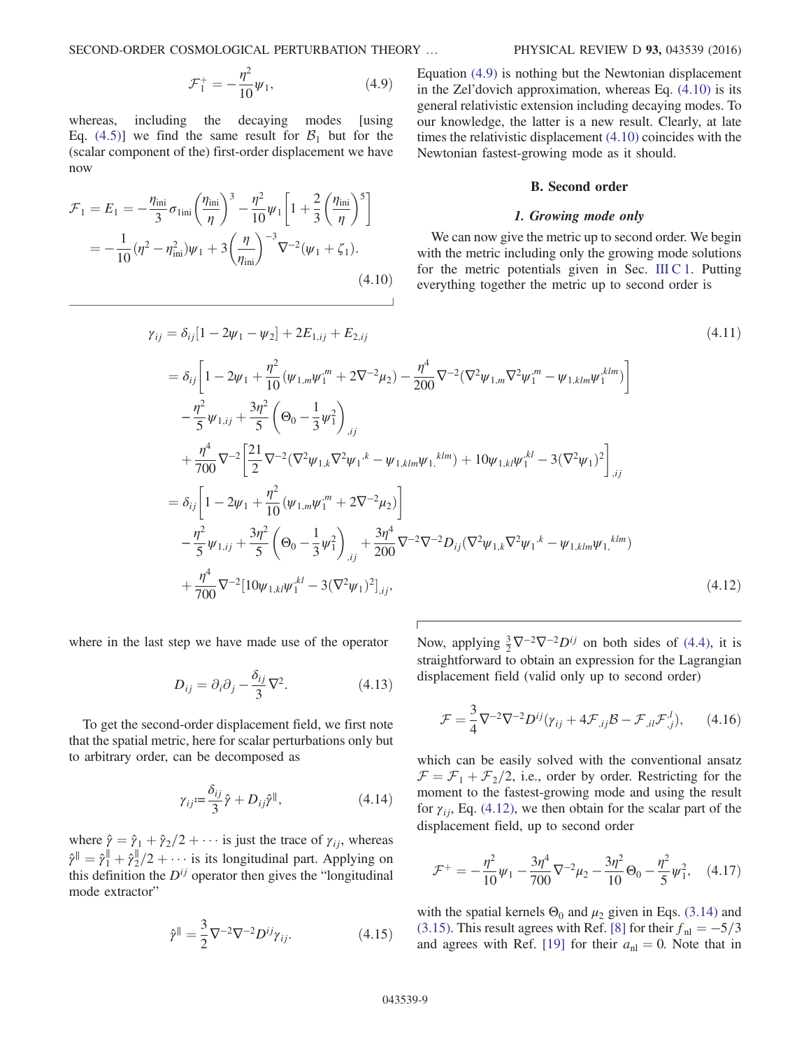$$
\mathcal{F}_1^+ = -\frac{\eta^2}{10}\psi_1,\tag{4.9}
$$

whereas, including the decaying modes [using Eq. [\(4.5\)\]](#page-7-3) we find the same result for  $\mathcal{B}_1$  but for the (scalar component of the) first-order displacement we have now

<span id="page-8-0"></span>
$$
\mathcal{F}_1 = E_1 = -\frac{\eta_{\text{ini}}}{3} \sigma_{1\text{ini}} \left(\frac{\eta_{\text{ini}}}{\eta}\right)^3 - \frac{\eta^2}{10} \psi_1 \left[1 + \frac{2}{3} \left(\frac{\eta_{\text{ini}}}{\eta}\right)^5\right]
$$
  
= 
$$
-\frac{1}{10} (\eta^2 - \eta_{\text{ini}}^2) \psi_1 + 3 \left(\frac{\eta}{\eta_{\text{ini}}}\right)^{-3} \nabla^{-2} (\psi_1 + \zeta_1).
$$
(4.10)

Equation [\(4.9\)](#page-7-4) is nothing but the Newtonian displacement in the Zel'dovich approximation, whereas Eq. [\(4.10\)](#page-8-0) is its general relativistic extension including decaying modes. To our knowledge, the latter is a new result. Clearly, at late times the relativistic displacement [\(4.10\)](#page-8-0) coincides with the Newtonian fastest-growing mode as it should.

### B. Second order

#### 1. Growing mode only

We can now give the metric up to second order. We begin with the metric including only the growing mode solutions for the metric potentials given in Sec. [III C 1.](#page-4-4) Putting everything together the metric up to second order is

<span id="page-8-1"></span>
$$
\gamma_{ij} = \delta_{ij}[1 - 2\psi_1 - \psi_2] + 2E_{1,ij} + E_{2,ij}
$$
\n
$$
= \delta_{ij}\left[1 - 2\psi_1 + \frac{\eta^2}{10}(\psi_{1,m}\psi_1^{m} + 2\nabla^{-2}\mu_2) - \frac{\eta^4}{200}\nabla^{-2}(\nabla^2\psi_{1,m}\nabla^2\psi_1^{m} - \psi_{1,klm}\psi_1^{klm})\right]
$$
\n
$$
- \frac{\eta^2}{5}\psi_{1,ij} + \frac{3\eta^2}{5}\left(\Theta_0 - \frac{1}{3}\psi_1^2\right)_{,ij}
$$
\n
$$
+ \frac{\eta^4}{700}\nabla^{-2}\left[\frac{21}{2}\nabla^{-2}(\nabla^2\psi_{1,k}\nabla^2\psi_1^{k} - \psi_{1,klm}\psi_1^{klm}) + 10\psi_{1,kl}\psi_1^{kl} - 3(\nabla^2\psi_1)^2\right]_{,ij}
$$
\n
$$
= \delta_{ij}\left[1 - 2\psi_1 + \frac{\eta^2}{10}(\psi_{1,m}\psi_1^{m} + 2\nabla^{-2}\mu_2)\right]
$$
\n
$$
- \frac{\eta^2}{5}\psi_{1,ij} + \frac{3\eta^2}{5}\left(\Theta_0 - \frac{1}{3}\psi_1^2\right)_{,ij} + \frac{3\eta^4}{200}\nabla^{-2}\nabla^{-2}D_{ij}(\nabla^2\psi_{1,k}\nabla^2\psi_1^{k} - \psi_{1,klm}\psi_1^{klm})
$$
\n
$$
+ \frac{\eta^4}{700}\nabla^{-2}[10\psi_{1,kl}\psi_1^{kl} - 3(\nabla^2\psi_1)^2]_{,ij}, \tag{4.12}
$$

where in the last step we have made use of the operator

$$
D_{ij} = \partial_i \partial_j - \frac{\delta_{ij}}{3} \nabla^2.
$$
 (4.13)

To get the second-order displacement field, we first note that the spatial metric, here for scalar perturbations only but to arbitrary order, can be decomposed as

$$
\gamma_{ij} := \frac{\delta_{ij}}{3} \hat{\gamma} + D_{ij} \hat{\gamma}^{\parallel}, \qquad (4.14)
$$

where  $\hat{\gamma} = \hat{\gamma}_1 + \hat{\gamma}_2/2 + \cdots$  is just the trace of  $\gamma_{ij}$ , whereas  $\hat{\gamma}^{\parallel} = \hat{\gamma}^{\parallel}_1 + \hat{\gamma}^{\parallel}_2/2 + \cdots$  is its longitudinal part. Applying on this definition the  $\Omega^{ij}$  operator then gives the "longitudinal" this definition the  $D^{ij}$  operator then gives the "longitudinal" mode extractor"

$$
\hat{\gamma}^{\parallel} = \frac{3}{2} \nabla^{-2} \nabla^{-2} D^{ij} \gamma_{ij}.
$$
\n(4.15)

<span id="page-8-2"></span>Now, applying  $\frac{3}{2}\nabla^{-2}\nabla^{-2}D^{ij}$  on both sides of [\(4.4\)](#page-7-1), it is straightforward to obtain an expression for the Lagrangian displacement field (valid only up to second order)

$$
\mathcal{F} = \frac{3}{4} \nabla^{-2} \nabla^{-2} D^{ij} (\gamma_{ij} + 4 \mathcal{F}_{,ij} \mathcal{B} - \mathcal{F}_{,il} \mathcal{F}_{,j}^l), \qquad (4.16)
$$

<span id="page-8-3"></span>which can be easily solved with the conventional ansatz  $\mathcal{F} = \mathcal{F}_1 + \mathcal{F}_2/2$ , i.e., order by order. Restricting for the moment to the fastest-growing mode and using the result for  $\gamma_{ii}$ , Eq. [\(4.12\)](#page-8-1), we then obtain for the scalar part of the displacement field, up to second order

$$
\mathcal{F}^{+} = -\frac{\eta^{2}}{10}\psi_{1} - \frac{3\eta^{4}}{700}\nabla^{-2}\mu_{2} - \frac{3\eta^{2}}{10}\Theta_{0} - \frac{\eta^{2}}{5}\psi_{1}^{2}, \quad (4.17)
$$

with the spatial kernels  $\Theta_0$  and  $\mu_2$  given in Eqs. [\(3.14\)](#page-5-1) and [\(3.15\)](#page-5-2). This result agrees with Ref. [\[8\]](#page-11-9) for their  $f_{nl} = -5/3$ and agrees with Ref. [\[19\]](#page-11-10) for their  $a_{nl} = 0$ . Note that in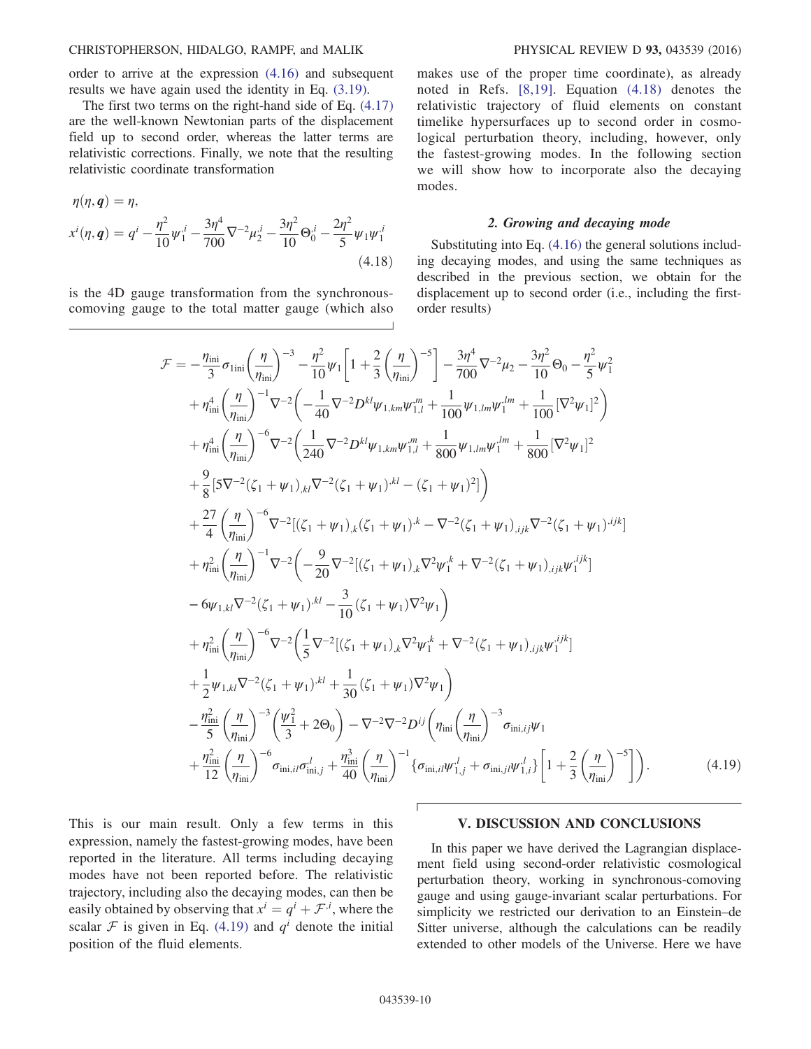# CHRISTOPHERSON, HIDALGO, RAMPF, and MALIK PHYSICAL REVIEW D 93, 043539 (2016)

order to arrive at the expression [\(4.16\)](#page-8-2) and subsequent results we have again used the identity in Eq. [\(3.19\).](#page-5-3)

The first two terms on the right-hand side of Eq. [\(4.17\)](#page-8-3) are the well-known Newtonian parts of the displacement field up to second order, whereas the latter terms are relativistic corrections. Finally, we note that the resulting relativistic coordinate transformation

<span id="page-9-1"></span>
$$
\eta(\eta, \mathbf{q}) = \eta,
$$
  
\n
$$
x^{i}(\eta, \mathbf{q}) = q^{i} - \frac{\eta^{2}}{10} \psi_{1}^{i} - \frac{3\eta^{4}}{700} \nabla^{-2} \mu_{2}^{i} - \frac{3\eta^{2}}{10} \Theta_{0}^{i} - \frac{2\eta^{2}}{5} \psi_{1} \psi_{1}^{i}
$$
\n(4.18)

<span id="page-9-2"></span>is the 4D gauge transformation from the synchronouscomoving gauge to the total matter gauge (which also makes use of the proper time coordinate), as already noted in Refs. [\[8,19\].](#page-11-9) Equation [\(4.18\)](#page-9-1) denotes the relativistic trajectory of fluid elements on constant timelike hypersurfaces up to second order in cosmological perturbation theory, including, however, only the fastest-growing modes. In the following section we will show how to incorporate also the decaying modes.

### 2. Growing and decaying mode

Substituting into Eq. [\(4.16\)](#page-8-2) the general solutions including decaying modes, and using the same techniques as described in the previous section, we obtain for the displacement up to second order (i.e., including the firstorder results)

$$
\mathcal{F} = -\frac{\eta_{\text{ini}}}{3}\sigma_{\text{ini}}\left(\frac{\eta}{\eta_{\text{ini}}}\right)^{-3} - \frac{\eta^{2}}{10}\psi_{1}\left[1 + \frac{2}{3}\left(\frac{\eta}{\eta_{\text{ini}}}\right)^{-5}\right] - \frac{3\eta^{4}}{700}\nabla^{-2}\mu_{2} - \frac{3\eta^{2}}{10}\Theta_{0} - \frac{\eta^{2}}{5}\psi_{1}^{2}
$$
\n
$$
+ \eta_{\text{ini}}^{4}\left(\frac{\eta}{\eta_{\text{ini}}}\right)^{-1}\nabla^{-2}\left(-\frac{1}{40}\nabla^{-2}D^{kl}\psi_{1,km}\psi_{1,l}^{m} + \frac{1}{100}\psi_{1,lm}\psi_{1}^{lm} + \frac{1}{100}\left[\nabla^{2}\psi_{1}\right]^{2}\right)
$$
\n
$$
+ \eta_{\text{ini}}^{4}\left(\frac{\eta}{\eta_{\text{ini}}}\right)^{-6}\nabla^{-2}\left(\frac{1}{240}\nabla^{-2}D^{kl}\psi_{1,km}\psi_{1,l}^{m} + \frac{1}{800}\psi_{1,lm}\psi_{1}^{lm} + \frac{1}{800}\left[\nabla^{2}\psi_{1}\right]^{2}
$$
\n
$$
+ \frac{9}{8}\left[5\nabla^{-2}(\zeta_{1} + \psi_{1})_{,kl}\nabla^{-2}(\zeta_{1} + \psi_{1})^{kl} - (\zeta_{1} + \psi_{1})^{2}\right]\right)
$$
\n
$$
+ \frac{27}{4}\left(\frac{\eta}{\eta_{\text{ini}}}\right)^{-6}\nabla^{-2}\left[(\zeta_{1} + \psi_{1})_{,k}(\zeta_{1} + \psi_{1})^{k} - \nabla^{-2}(\zeta_{1} + \psi_{1})_{,ijk}\nabla^{-2}(\zeta_{1} + \psi_{1})^{,ijk}\right]
$$
\n
$$
+ \eta_{\text{ini}}^{2}\left(\frac{\eta}{\eta_{\text{ini}}}\right)^{-1}\nabla^{-2}\left(-\frac{9}{20}\nabla^{-2}\left[(\zeta_{1} + \psi_{1})_{,k}\nabla^{2}\psi_{1}^{k} + \nabla^{-2}(\zeta_{1} + \psi_{1})_{,ijk}\psi_{1}^{ijk}\right]
$$
\

This is our main result. Only a few terms in this expression, namely the fastest-growing modes, have been reported in the literature. All terms including decaying modes have not been reported before. The relativistic trajectory, including also the decaying modes, can then be easily obtained by observing that  $x^i = q^i + \mathcal{F}^{i}$ , where the scalar  $\mathcal F$  is given in Eq. [\(4.19\)](#page-9-2) and  $q^i$  denote the initial position of the fluid elements.

# V. DISCUSSION AND CONCLUSIONS

<span id="page-9-0"></span>In this paper we have derived the Lagrangian displacement field using second-order relativistic cosmological perturbation theory, working in synchronous-comoving gauge and using gauge-invariant scalar perturbations. For simplicity we restricted our derivation to an Einstein–de Sitter universe, although the calculations can be readily extended to other models of the Universe. Here we have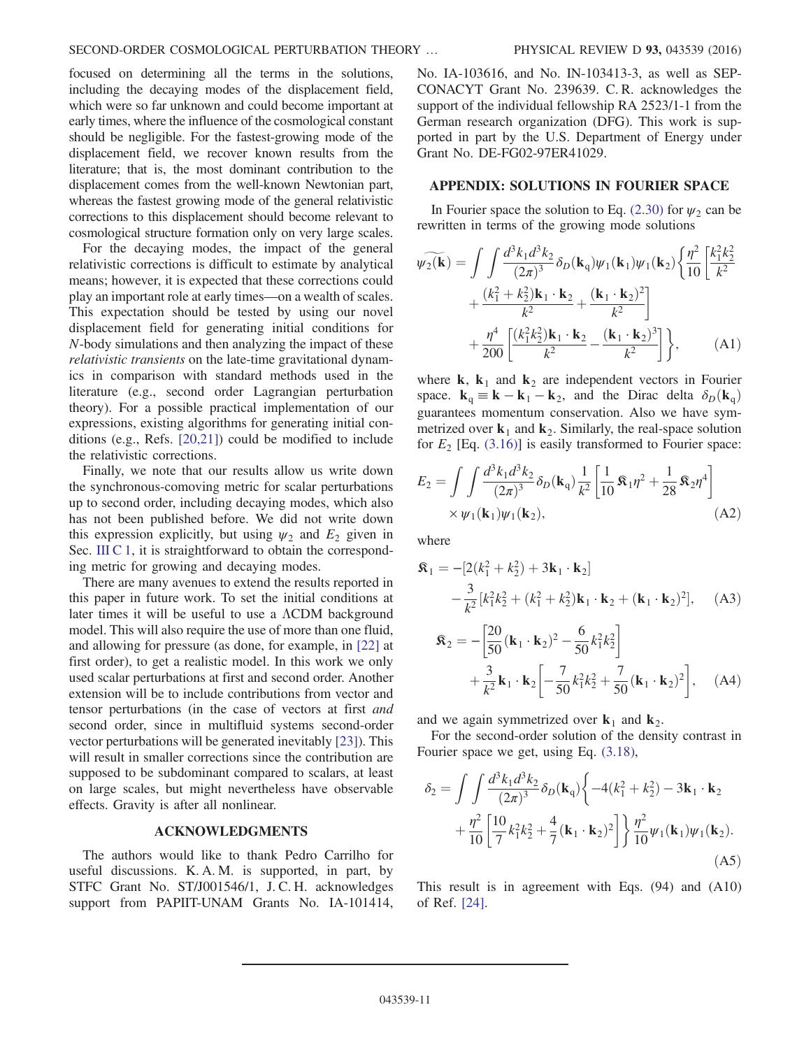focused on determining all the terms in the solutions, including the decaying modes of the displacement field, which were so far unknown and could become important at early times, where the influence of the cosmological constant should be negligible. For the fastest-growing mode of the displacement field, we recover known results from the literature; that is, the most dominant contribution to the displacement comes from the well-known Newtonian part, whereas the fastest growing mode of the general relativistic corrections to this displacement should become relevant to cosmological structure formation only on very large scales.

For the decaying modes, the impact of the general relativistic corrections is difficult to estimate by analytical means; however, it is expected that these corrections could play an important role at early times—on a wealth of scales. This expectation should be tested by using our novel displacement field for generating initial conditions for N-body simulations and then analyzing the impact of these relativistic transients on the late-time gravitational dynamics in comparison with standard methods used in the literature (e.g., second order Lagrangian perturbation theory). For a possible practical implementation of our expressions, existing algorithms for generating initial conditions (e.g., Refs. [\[20,21\]](#page-11-11)) could be modified to include the relativistic corrections.

Finally, we note that our results allow us write down the synchronous-comoving metric for scalar perturbations up to second order, including decaying modes, which also has not been published before. We did not write down this expression explicitly, but using  $\psi_2$  and  $E_2$  given in Sec. [III C 1](#page-4-4), it is straightforward to obtain the corresponding metric for growing and decaying modes.

There are many avenues to extend the results reported in this paper in future work. To set the initial conditions at later times it will be useful to use a ΛCDM background model. This will also require the use of more than one fluid, and allowing for pressure (as done, for example, in [\[22\]](#page-11-12) at first order), to get a realistic model. In this work we only used scalar perturbations at first and second order. Another extension will be to include contributions from vector and tensor perturbations (in the case of vectors at first and second order, since in multifluid systems second-order vector perturbations will be generated inevitably [\[23\]](#page-11-13)). This will result in smaller corrections since the contribution are supposed to be subdominant compared to scalars, at least on large scales, but might nevertheless have observable effects. Gravity is after all nonlinear.

# ACKNOWLEDGMENTS

The authors would like to thank Pedro Carrilho for useful discussions. K. A. M. is supported, in part, by STFC Grant No. ST/J001546/1, J. C. H. acknowledges support from PAPIIT-UNAM Grants No. IA-101414, No. IA-103616, and No. IN-103413-3, as well as SEP-CONACYT Grant No. 239639. C. R. acknowledges the support of the individual fellowship RA 2523/1-1 from the German research organization (DFG). This work is supported in part by the U.S. Department of Energy under Grant No. DE-FG02-97ER41029.

# APPENDIX: SOLUTIONS IN FOURIER SPACE

In Fourier space the solution to Eq. [\(2.30\)](#page-3-4) for  $\psi_2$  can be rewritten in terms of the growing mode solutions

$$
\widetilde{\psi_2(\mathbf{k})} = \int \int \frac{d^3 k_1 d^3 k_2}{(2\pi)^3} \delta_D(\mathbf{k}_q) \psi_1(\mathbf{k}_1) \psi_1(\mathbf{k}_2) \left\{ \frac{\eta^2}{10} \left[ \frac{k_1^2 k_2^2}{k^2} + \frac{(k_1^2 + k_2^2) \mathbf{k}_1 \cdot \mathbf{k}_2}{k^2} + \frac{(\mathbf{k}_1 \cdot \mathbf{k}_2)^2}{k^2} \right] + \frac{\eta^4}{200} \left[ \frac{(k_1^2 k_2^2) \mathbf{k}_1 \cdot \mathbf{k}_2}{k^2} - \frac{(\mathbf{k}_1 \cdot \mathbf{k}_2)^3}{k^2} \right] \right\}, \quad \text{(A1)}
$$

where  $k$ ,  $k_1$  and  $k_2$  are independent vectors in Fourier space.  $\mathbf{k}_q = \mathbf{k} - \mathbf{k}_1 - \mathbf{k}_2$ , and the Dirac delta  $\delta_D(\mathbf{k}_q)$ guarantees momentum conservation. Also we have symmetrized over  $\mathbf{k}_1$  and  $\mathbf{k}_2$ . Similarly, the real-space solution for  $E_2$  [Eq. [\(3.16\)\]](#page-5-4) is easily transformed to Fourier space:

$$
E_2 = \int \int \frac{d^3 k_1 d^3 k_2}{(2\pi)^3} \delta_D(\mathbf{k}_q) \frac{1}{k^2} \left[ \frac{1}{10} \mathbf{\hat{R}}_1 \eta^2 + \frac{1}{28} \mathbf{\hat{R}}_2 \eta^4 \right] \times \psi_1(\mathbf{k}_1) \psi_1(\mathbf{k}_2), \tag{A2}
$$

where

$$
\mathbf{\hat{x}}_1 = -[2(k_1^2 + k_2^2) + 3\mathbf{k}_1 \cdot \mathbf{k}_2] \n- \frac{3}{k^2} [k_1^2 k_2^2 + (k_1^2 + k_2^2) \mathbf{k}_1 \cdot \mathbf{k}_2 + (\mathbf{k}_1 \cdot \mathbf{k}_2)^2], \quad \text{(A3)}
$$
\n
$$
\mathbf{\hat{x}}_2 = -\left[\frac{20}{50} (\mathbf{k}_1 \cdot \mathbf{k}_2)^2 - \frac{6}{50} k_1^2 k_2^2\right]
$$

þ  $\frac{3}{k^2}$ **k**<sub>1</sub> · **k**<sub>2</sub> $\left[-\frac{7}{50}k_1^2k_2^2 + \cdots\right]$  $\frac{7}{50}(\mathbf{k}_1 \cdot \mathbf{k}_2)^2$  $(A4)$ 

and we again symmetrized over  $\mathbf{k}_1$  and  $\mathbf{k}_2$ .

For the second-order solution of the density contrast in Fourier space we get, using Eq. [\(3.18\)](#page-5-5),

$$
\delta_2 = \int \int \frac{d^3 k_1 d^3 k_2}{(2\pi)^3} \delta_D(\mathbf{k}_q) \left\{ -4(k_1^2 + k_2^2) - 3\mathbf{k}_1 \cdot \mathbf{k}_2 + \frac{\eta^2}{10} \left[ \frac{10}{7} k_1^2 k_2^2 + \frac{4}{7} (\mathbf{k}_1 \cdot \mathbf{k}_2)^2 \right] \right\} \frac{\eta^2}{10} \psi_1(\mathbf{k}_1) \psi_1(\mathbf{k}_2).
$$
\n(A5)

This result is in agreement with Eqs. (94) and (A10) of Ref. [\[24\].](#page-11-14)